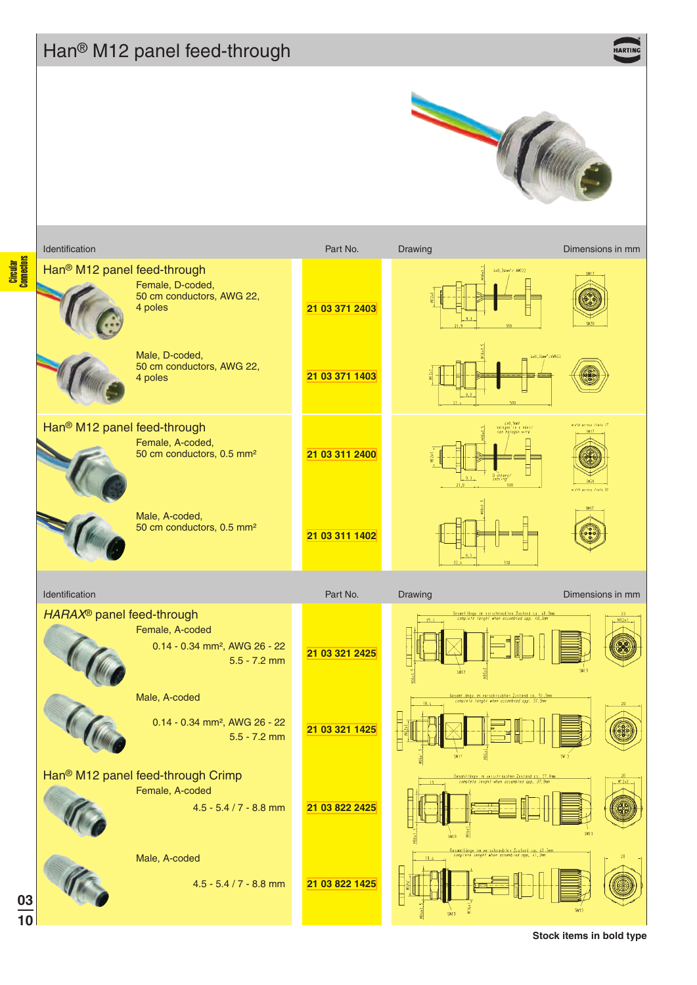## Han® M12 panel feed-through

HARTIK



Circular<br>Connectors

|                | Identification                          |                                                                                              | Part No.       | Drawing                                                                                                                       | Dimensions in mm                             |
|----------------|-----------------------------------------|----------------------------------------------------------------------------------------------|----------------|-------------------------------------------------------------------------------------------------------------------------------|----------------------------------------------|
|                | Han <sup>®</sup> M12 panel feed-through | Female, D-coded,<br>50 cm conductors, AWG 22,<br>4 poles                                     | 21 03 371 2403 | 4x0,34mm <sup>2</sup> / AW522                                                                                                 |                                              |
|                |                                         | Male, D-coded,<br>50 cm conductors, AWG 22,<br>4 poles                                       | 21 03 371 1403 |                                                                                                                               | 4x0,34mm2/AW622                              |
|                | Han <sup>®</sup> M12 panel feed-through | Female, A-coded,<br>50 cm conductors, 0.5 mm <sup>2</sup>                                    | 21 03 311 2400 | úx0,5mm <sup>1</sup><br>nalogeníre e Ader⁄<br><i>nan halogen wire</i><br>D chturg.<br>sealing                                 | width across flats 17<br>dih accoss fiais 20 |
|                |                                         | Male, A-coded,<br>50 cm conductors, 0.5 mm <sup>2</sup>                                      | 21 03 311 1402 |                                                                                                                               |                                              |
| Identification |                                         |                                                                                              | Part No.       | Drawing                                                                                                                       | Dimensions in mm                             |
|                | HARAX <sup>®</sup> panel feed-through   | Female, A-coded<br>0.14 - 0.34 mm <sup>2</sup> , AWG 26 - 22<br>$5.5 - 7.2$ mm               | 21 03 321 2425 | .<br><u>Gesamtlänge im verschraubten Zustard ca. 48,2mm</u><br>- complete lenght when assembled app. 4 <i>8,2m</i> m<br>\$917 | M12x                                         |
|                |                                         | Male, A-coded<br>0.14 - 0.34 mm <sup>2</sup> , AWG 26 - 22<br>$5.5 - 7.2$ mm                 | 21 03 321 1425 | <u>Gesamt änge im verschroubten Zustand da. 51,5mm<br/>Lompfefe (enghf when assembled app. 51,5mm)</u>                        |                                              |
|                |                                         | Han <sup>®</sup> M12 panel feed-through Crimp<br>Female, A-coded<br>$4.5 - 5.4 / 7 - 8.8$ mm | 21 03 822 2425 | Gesamliänge im verschraupten Zustand ca. 37.9mm<br>- complete lenght when assembled app. 37,9mm<br><b>SW19</b>                | $M'$ $2x'$                                   |
|                |                                         | Male, A-coded<br>$4.5 - 5.4 / 7 - 8.8$ mm                                                    | 21 03 822 1425 | Gesamtlänge im verschraublen Zustand ca. 41.3mm<br>- complete lenght when assembled app. 41.3mm<br>18,4                       |                                              |

**Stock items in bold type**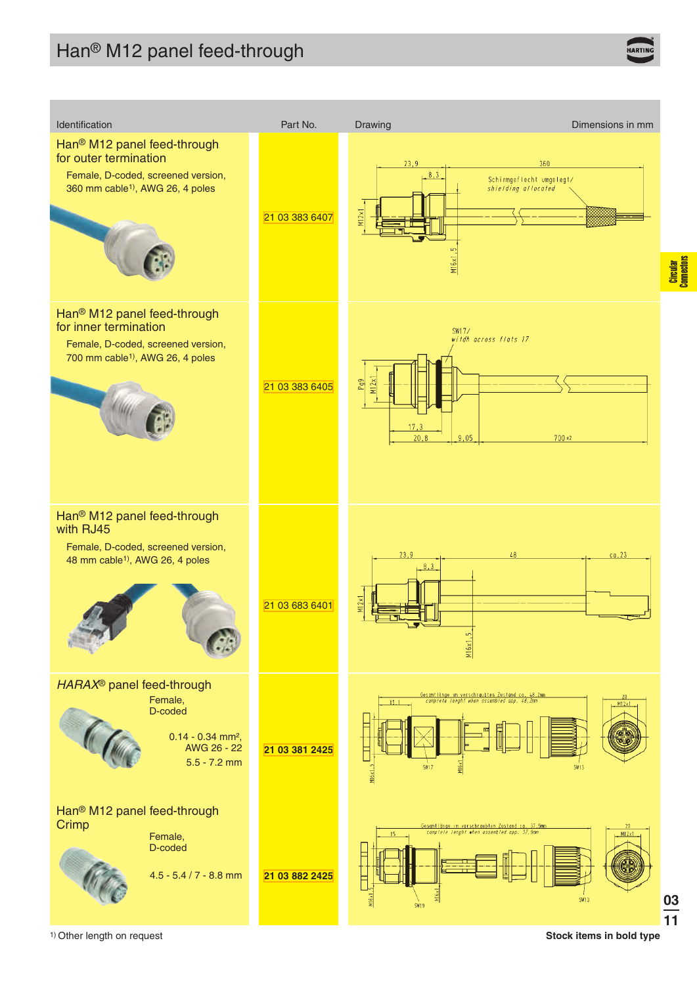

1) Other length on request **Stock items in bold type**